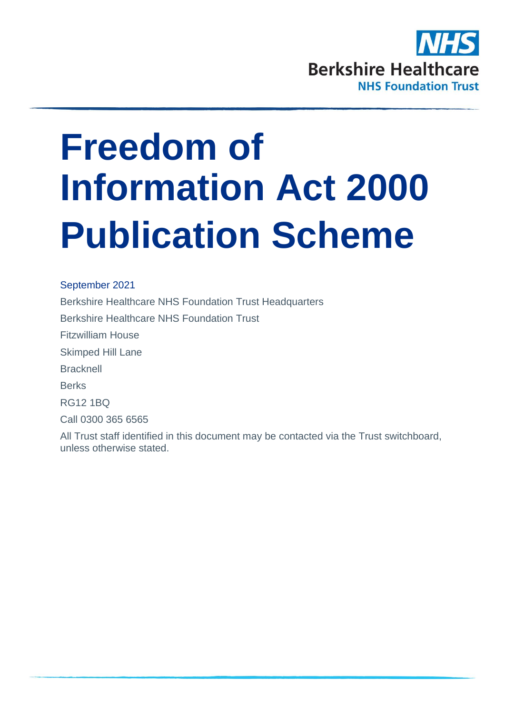

# **Freedom of Information Act 2000 Publication Scheme**

September 2021 Berkshire Healthcare NHS Foundation Trust Headquarters Berkshire Healthcare NHS Foundation Trust Fitzwilliam House Skimped Hill Lane **Bracknell** Berks RG12 1BQ Call 0300 365 6565

All Trust staff identified in this document may be contacted via the Trust switchboard, unless otherwise stated.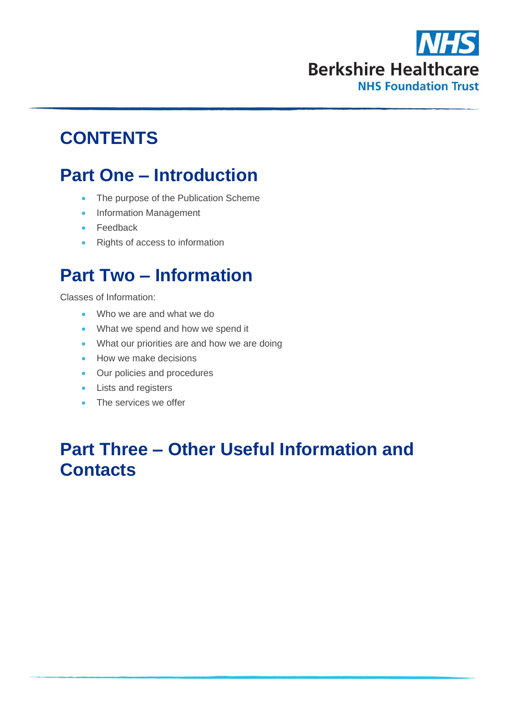

# **CONTENTS**

# **Part One – Introduction**

- The purpose of the Publication Scheme
- Information Management
- Feedback
- Rights of access to information

# **Part Two – Information**

Classes of Information:

- Who we are and what we do
- What we spend and how we spend it
- What our priorities are and how we are doing
- How we make decisions
- Our policies and procedures
- Lists and registers
- The services we offer

# **Part Three – Other Useful Information and Contacts**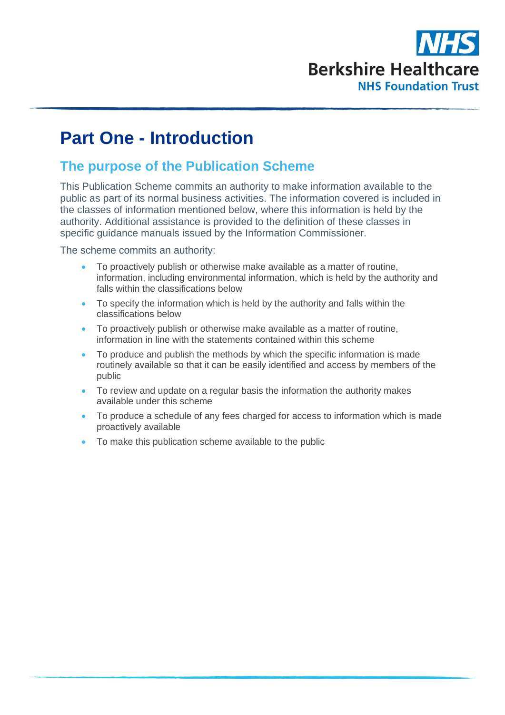

# **Part One - Introduction**

# **The purpose of the Publication Scheme**

This Publication Scheme commits an authority to make information available to the public as part of its normal business activities. The information covered is included in the classes of information mentioned below, where this information is held by the authority. Additional assistance is provided to the definition of these classes in specific guidance manuals issued by the Information Commissioner.

The scheme commits an authority:

- To proactively publish or otherwise make available as a matter of routine, information, including environmental information, which is held by the authority and falls within the classifications below
- To specify the information which is held by the authority and falls within the classifications below
- To proactively publish or otherwise make available as a matter of routine, information in line with the statements contained within this scheme
- To produce and publish the methods by which the specific information is made routinely available so that it can be easily identified and access by members of the public
- To review and update on a regular basis the information the authority makes available under this scheme
- To produce a schedule of any fees charged for access to information which is made proactively available
- To make this publication scheme available to the public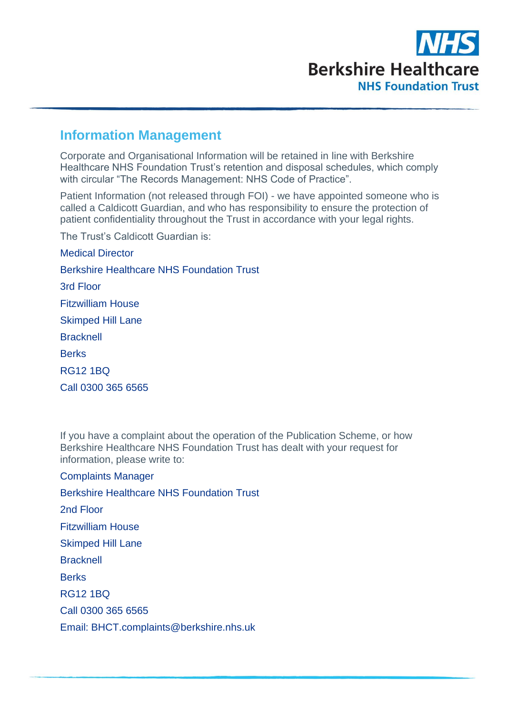

# **Information Management**

Corporate and Organisational Information will be retained in line with Berkshire Healthcare NHS Foundation Trust's retention and disposal schedules, which comply with circular "The Records Management: NHS Code of Practice".

Patient Information (not released through FOI) - we have appointed someone who is called a Caldicott Guardian, and who has responsibility to ensure the protection of patient confidentiality throughout the Trust in accordance with your legal rights.

The Trust's Caldicott Guardian is:

Medical Director Berkshire Healthcare NHS Foundation Trust 3rd Floor Fitzwilliam House Skimped Hill Lane **Bracknell Berks** RG12 1BQ Call 0300 365 6565

If you have a complaint about the operation of the Publication Scheme, or how Berkshire Healthcare NHS Foundation Trust has dealt with your request for information, please write to:

Complaints Manager Berkshire Healthcare NHS Foundation Trust 2nd Floor Fitzwilliam House Skimped Hill Lane **Bracknell Berks** RG12 1BQ Call 0300 365 6565 Email: BHCT.complaints@berkshire.nhs.uk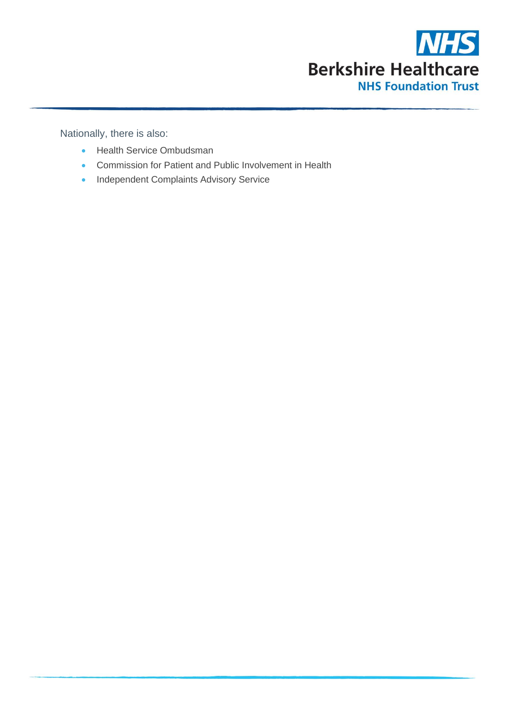

Nationally, there is also:

- Health Service Ombudsman
- Commission for Patient and Public Involvement in Health
- Independent Complaints Advisory Service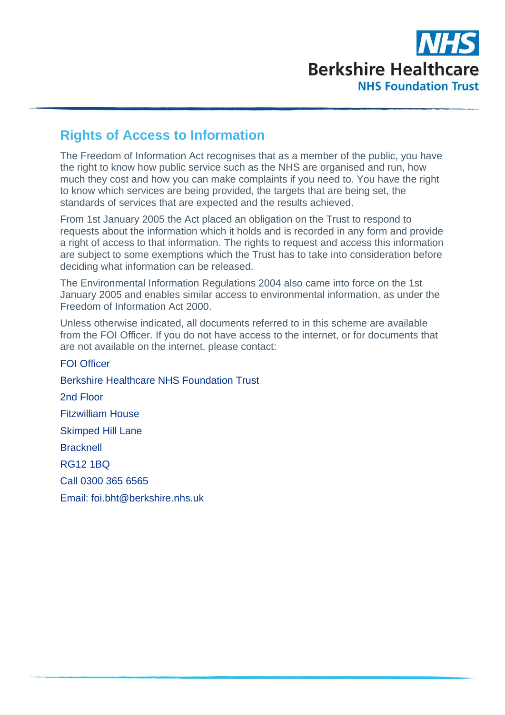

# **Rights of Access to Information**

The Freedom of Information Act recognises that as a member of the public, you have the right to know how public service such as the NHS are organised and run, how much they cost and how you can make complaints if you need to. You have the right to know which services are being provided, the targets that are being set, the standards of services that are expected and the results achieved.

From 1st January 2005 the Act placed an obligation on the Trust to respond to requests about the information which it holds and is recorded in any form and provide a right of access to that information. The rights to request and access this information are subject to some exemptions which the Trust has to take into consideration before deciding what information can be released.

The Environmental Information Regulations 2004 also came into force on the 1st January 2005 and enables similar access to environmental information, as under the Freedom of Information Act 2000.

Unless otherwise indicated, all documents referred to in this scheme are available from the FOI Officer. If you do not have access to the internet, or for documents that are not available on the internet, please contact:

FOI Officer Berkshire Healthcare NHS Foundation Trust 2nd Floor Fitzwilliam House Skimped Hill Lane **Bracknell** RG12 1BQ Call 0300 365 6565 Email: foi.bht@berkshire.nhs.uk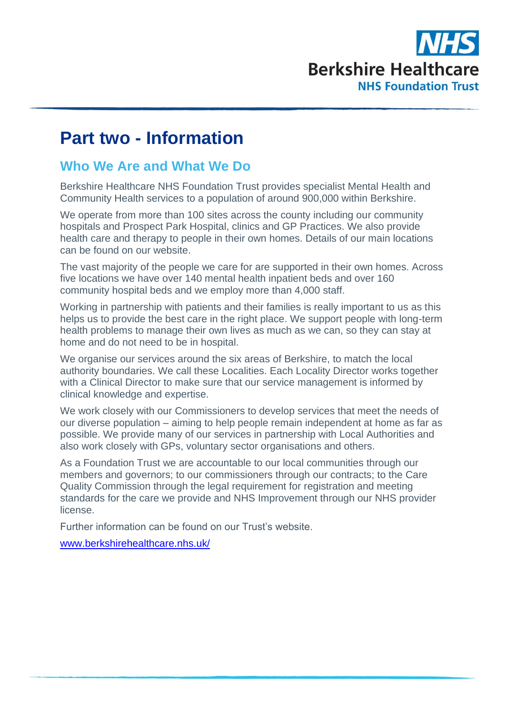

# **Part two - Information**

## **Who We Are and What We Do**

Berkshire Healthcare NHS Foundation Trust provides specialist Mental Health and Community Health services to a population of around 900,000 within Berkshire.

We operate from more than 100 sites across the county including our community hospitals and Prospect Park Hospital, clinics and GP Practices. We also provide health care and therapy to people in their own homes. Details of our main locations can be found on our website.

The vast majority of the people we care for are supported in their own homes. Across five locations we have over 140 mental health inpatient beds and over 160 community hospital beds and we employ more than 4,000 staff.

Working in partnership with patients and their families is really important to us as this helps us to provide the best care in the right place. We support people with long-term health problems to manage their own lives as much as we can, so they can stay at home and do not need to be in hospital.

We organise our services around the six areas of Berkshire, to match the local authority boundaries. We call these Localities. Each Locality Director works together with a Clinical Director to make sure that our service management is informed by clinical knowledge and expertise.

We work closely with our Commissioners to develop services that meet the needs of our diverse population – aiming to help people remain independent at home as far as possible. We provide many of our services in partnership with Local Authorities and also work closely with GPs, voluntary sector organisations and others.

As a Foundation Trust we are accountable to our local communities through our members and governors; to our commissioners through our contracts; to the Care Quality Commission through the legal requirement for registration and meeting standards for the care we provide and NHS Improvement through our NHS provider license.

Further information can be found on our Trust's website.

[www.berkshirehealthcare.nhs.uk/](http://www.berkshirehealthcare.nhs.uk/)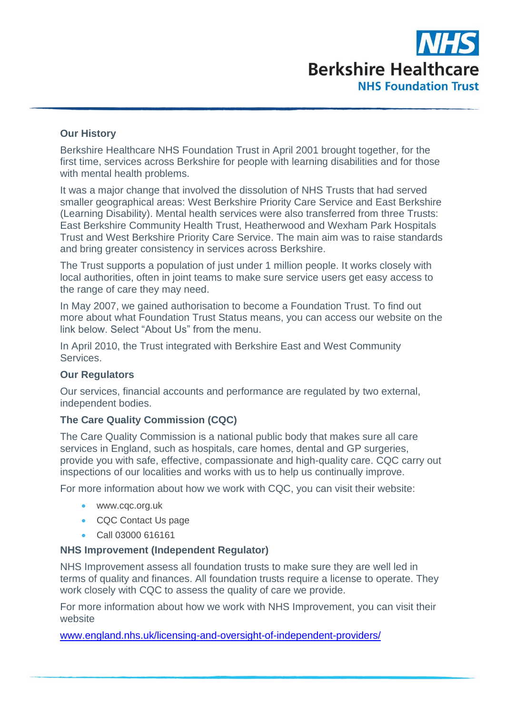

#### **Our History**

Berkshire Healthcare NHS Foundation Trust in April 2001 brought together, for the first time, services across Berkshire for people with learning disabilities and for those with mental health problems.

It was a major change that involved the dissolution of NHS Trusts that had served smaller geographical areas: West Berkshire Priority Care Service and East Berkshire (Learning Disability). Mental health services were also transferred from three Trusts: East Berkshire Community Health Trust, Heatherwood and Wexham Park Hospitals Trust and West Berkshire Priority Care Service. The main aim was to raise standards and bring greater consistency in services across Berkshire.

The Trust supports a population of just under 1 million people. It works closely with local authorities, often in joint teams to make sure service users get easy access to the range of care they may need.

In May 2007, we gained authorisation to become a Foundation Trust. To find out more about what Foundation Trust Status means, you can access our website on the link below. Select "About Us" from the menu.

In April 2010, the Trust integrated with Berkshire East and West Community Services.

#### **Our Regulators**

Our services, financial accounts and performance are regulated by two external, independent bodies.

#### **The Care Quality Commission (CQC)**

The Care Quality Commission is a national public body that makes sure all care services in England, such as hospitals, care homes, dental and GP surgeries, provide you with safe, effective, compassionate and high-quality care. CQC carry out inspections of our localities and works with us to help us continually improve.

For more information about how we work with CQC, you can visit their website:

- www.cqc.org.uk
- CQC Contact Us page
- Call 03000 616161

#### **NHS Improvement (Independent Regulator)**

NHS Improvement assess all foundation trusts to make sure they are well led in terms of quality and finances. All foundation trusts require a license to operate. They work closely with CQC to assess the quality of care we provide.

For more information about how we work with NHS Improvement, you can visit their website

[www.england.nhs.uk/licensing-and-oversight-of-independent-providers/](http://www.england.nhs.uk/licensing-and-oversight-of-independent-providers/)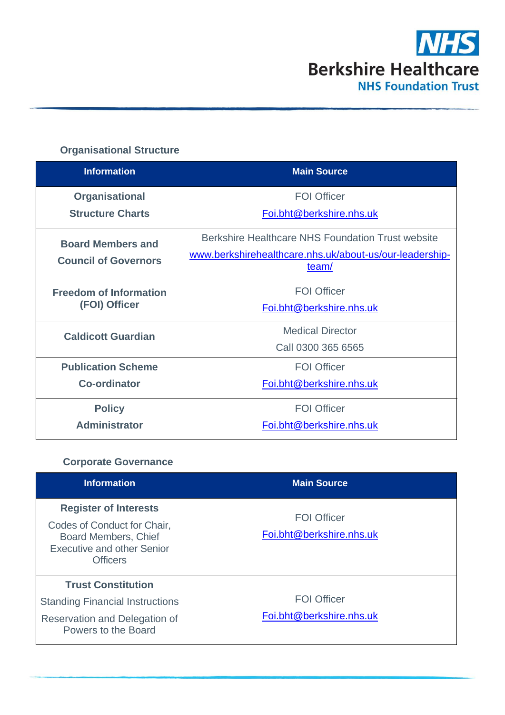

# **Organisational Structure**

| <b>Information</b>                                      | <b>Main Source</b>                                                                                                    |
|---------------------------------------------------------|-----------------------------------------------------------------------------------------------------------------------|
| <b>Organisational</b>                                   | <b>FOI Officer</b>                                                                                                    |
| <b>Structure Charts</b>                                 | Foi.bht@berkshire.nhs.uk                                                                                              |
| <b>Board Members and</b><br><b>Council of Governors</b> | Berkshire Healthcare NHS Foundation Trust website<br>www.berkshirehealthcare.nhs.uk/about-us/our-leadership-<br>team/ |
| <b>Freedom of Information</b>                           | <b>FOI Officer</b>                                                                                                    |
| (FOI) Officer                                           | Foi.bht@berkshire.nhs.uk                                                                                              |
| <b>Caldicott Guardian</b>                               | <b>Medical Director</b><br>Call 0300 365 6565                                                                         |
| <b>Publication Scheme</b>                               | <b>FOI Officer</b>                                                                                                    |
| <b>Co-ordinator</b>                                     | Foi.bht@berkshire.nhs.uk                                                                                              |
| <b>Policy</b>                                           | <b>FOI Officer</b>                                                                                                    |
| <b>Administrator</b>                                    | Foi.bht@berkshire.nhs.uk                                                                                              |

### **Corporate Governance**

| <b>Information</b>                                                                                                                                 | <b>Main Source</b>                             |
|----------------------------------------------------------------------------------------------------------------------------------------------------|------------------------------------------------|
| <b>Register of Interests</b><br>Codes of Conduct for Chair,<br><b>Board Members, Chief</b><br><b>Executive and other Senior</b><br><b>Officers</b> | <b>FOI Officer</b><br>Foi.bht@berkshire.nhs.uk |
| <b>Trust Constitution</b><br><b>Standing Financial Instructions</b><br>Reservation and Delegation of<br>Powers to the Board                        | <b>FOI Officer</b><br>Foi.bht@berkshire.nhs.uk |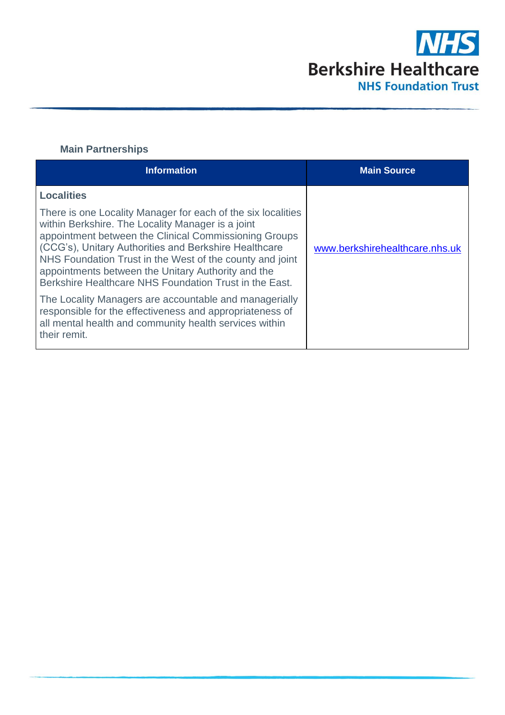

## **Main Partnerships**

| <b>Information</b>                                                                                                                                                                                                                                                                                                                                                                                              | <b>Main Source</b>             |
|-----------------------------------------------------------------------------------------------------------------------------------------------------------------------------------------------------------------------------------------------------------------------------------------------------------------------------------------------------------------------------------------------------------------|--------------------------------|
| <b>Localities</b>                                                                                                                                                                                                                                                                                                                                                                                               |                                |
| There is one Locality Manager for each of the six localities<br>within Berkshire. The Locality Manager is a joint<br>appointment between the Clinical Commissioning Groups<br>(CCG's), Unitary Authorities and Berkshire Healthcare<br>NHS Foundation Trust in the West of the county and joint<br>appointments between the Unitary Authority and the<br>Berkshire Healthcare NHS Foundation Trust in the East. | www.berkshirehealthcare.nhs.uk |
| The Locality Managers are accountable and managerially<br>responsible for the effectiveness and appropriateness of<br>all mental health and community health services within<br>their remit.                                                                                                                                                                                                                    |                                |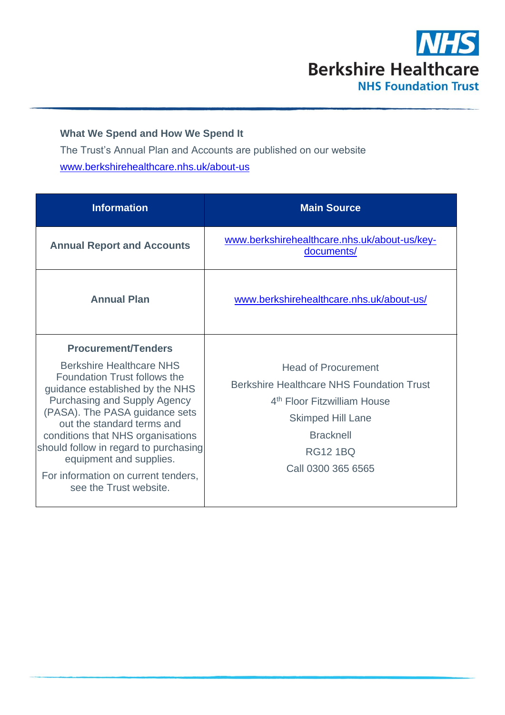

## **What We Spend and How We Spend It**

The Trust's Annual Plan and Accounts are published on our website [www.berkshirehealthcare.nhs.uk/about-us](http://www.berkshirehealthcare.nhs.uk/about-us)

| <b>Information</b>                                                                                                                                                                                                                                                                                                                                                                                                | <b>Main Source</b>                                                                                                                                                                                                 |
|-------------------------------------------------------------------------------------------------------------------------------------------------------------------------------------------------------------------------------------------------------------------------------------------------------------------------------------------------------------------------------------------------------------------|--------------------------------------------------------------------------------------------------------------------------------------------------------------------------------------------------------------------|
| <b>Annual Report and Accounts</b>                                                                                                                                                                                                                                                                                                                                                                                 | www.berkshirehealthcare.nhs.uk/about-us/key-<br>documents/                                                                                                                                                         |
| <b>Annual Plan</b>                                                                                                                                                                                                                                                                                                                                                                                                | www.berkshirehealthcare.nhs.uk/about-us/                                                                                                                                                                           |
| <b>Procurement/Tenders</b><br><b>Berkshire Healthcare NHS</b><br>Foundation Trust follows the<br>guidance established by the NHS<br><b>Purchasing and Supply Agency</b><br>(PASA). The PASA guidance sets<br>out the standard terms and<br>conditions that NHS organisations<br>should follow in regard to purchasing<br>equipment and supplies.<br>For information on current tenders,<br>see the Trust website. | <b>Head of Procurement</b><br><b>Berkshire Healthcare NHS Foundation Trust</b><br>4 <sup>th</sup> Floor Fitzwilliam House<br><b>Skimped Hill Lane</b><br><b>Bracknell</b><br><b>RG12 1BQ</b><br>Call 0300 365 6565 |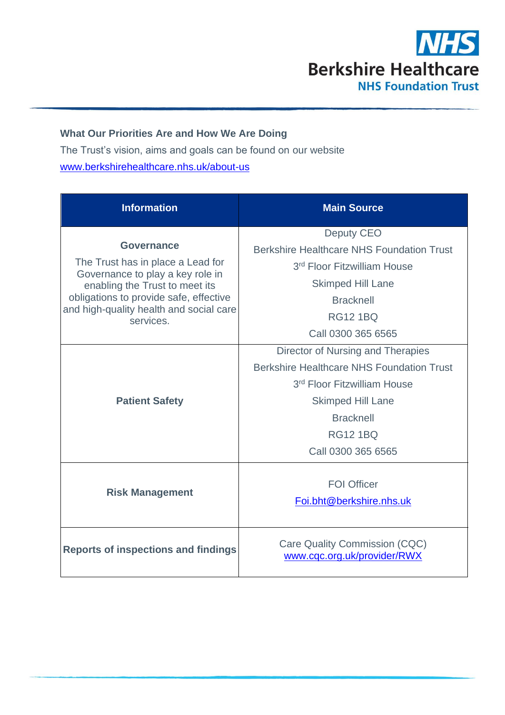

### **What Our Priorities Are and How We Are Doing**

The Trust's vision, aims and goals can be found on our website [www.berkshirehealthcare.nhs.uk/about-us](http://www.berkshirehealthcare.nhs.uk/about-us)

| <b>Information</b>                                                    | <b>Main Source</b>                                           |
|-----------------------------------------------------------------------|--------------------------------------------------------------|
|                                                                       | <b>Deputy CEO</b>                                            |
| <b>Governance</b>                                                     | <b>Berkshire Healthcare NHS Foundation Trust</b>             |
| The Trust has in place a Lead for<br>Governance to play a key role in | 3 <sup>rd</sup> Floor Fitzwilliam House                      |
| enabling the Trust to meet its                                        | <b>Skimped Hill Lane</b>                                     |
| obligations to provide safe, effective                                | <b>Bracknell</b>                                             |
| and high-quality health and social care<br>services.                  | <b>RG12 1BQ</b>                                              |
|                                                                       | Call 0300 365 6565                                           |
| <b>Patient Safety</b>                                                 | Director of Nursing and Therapies                            |
|                                                                       | <b>Berkshire Healthcare NHS Foundation Trust</b>             |
|                                                                       | 3 <sup>rd</sup> Floor Fitzwilliam House                      |
|                                                                       | <b>Skimped Hill Lane</b>                                     |
|                                                                       | <b>Bracknell</b>                                             |
|                                                                       | <b>RG12 1BQ</b>                                              |
|                                                                       | Call 0300 365 6565                                           |
| <b>Risk Management</b>                                                |                                                              |
|                                                                       | <b>FOI Officer</b>                                           |
|                                                                       | Foi.bht@berkshire.nhs.uk                                     |
| <b>Reports of inspections and findings</b>                            | Care Quality Commission (CQC)<br>www.cqc.org.uk/provider/RWX |
|                                                                       |                                                              |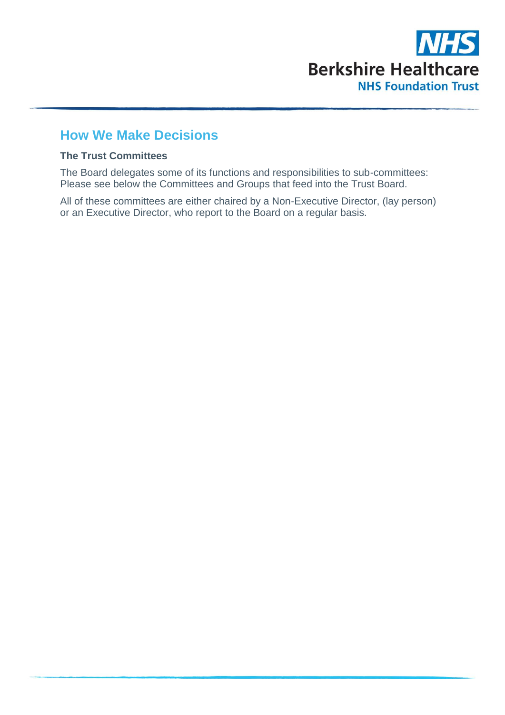

# **How We Make Decisions**

#### **The Trust Committees**

The Board delegates some of its functions and responsibilities to sub-committees: Please see below the Committees and Groups that feed into the Trust Board.

All of these committees are either chaired by a Non-Executive Director, (lay person) or an Executive Director, who report to the Board on a regular basis.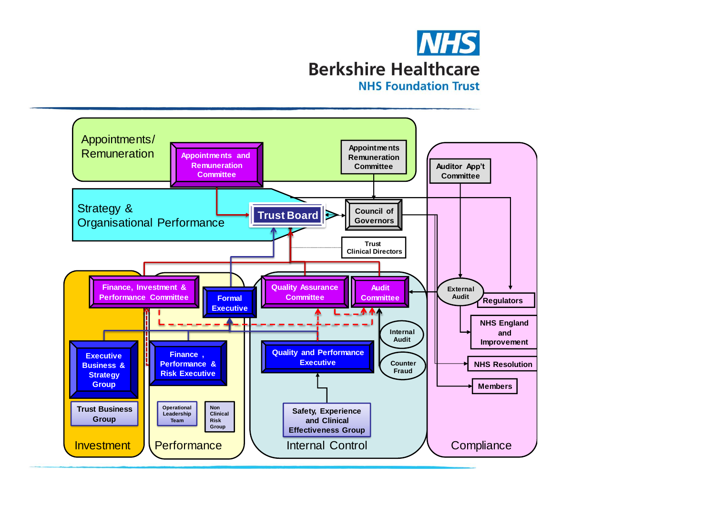

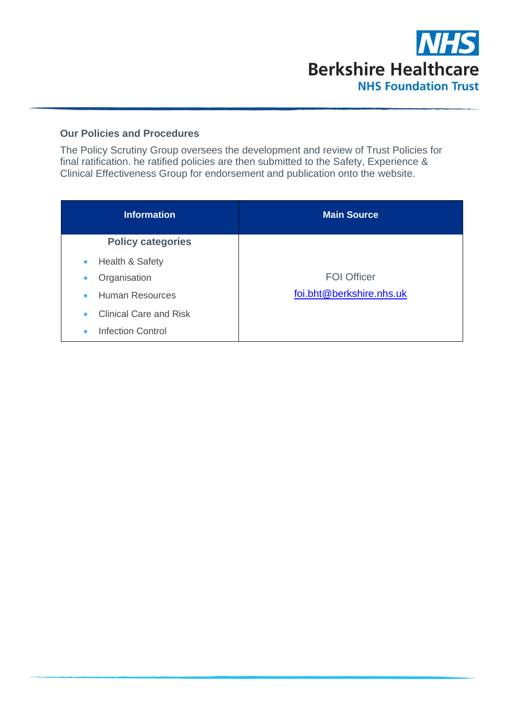

#### **Our Policies and Procedures**

The Policy Scrutiny Group oversees the development and review of Trust Policies for final ratification. he ratified policies are then submitted to the Safety, Experience & Clinical Effectiveness Group for endorsement and publication onto the website.

| <b>Information</b>                         | <b>Main Source</b>       |
|--------------------------------------------|--------------------------|
| <b>Policy categories</b>                   |                          |
| Health & Safety<br>$\bullet$               |                          |
| Organisation<br>$\bullet$                  | <b>FOI Officer</b>       |
| <b>Human Resources</b><br>$\bullet$        | foi.bht@berkshire.nhs.uk |
| <b>Clinical Care and Risk</b><br>$\bullet$ |                          |
| <b>Infection Control</b><br>$\bullet$      |                          |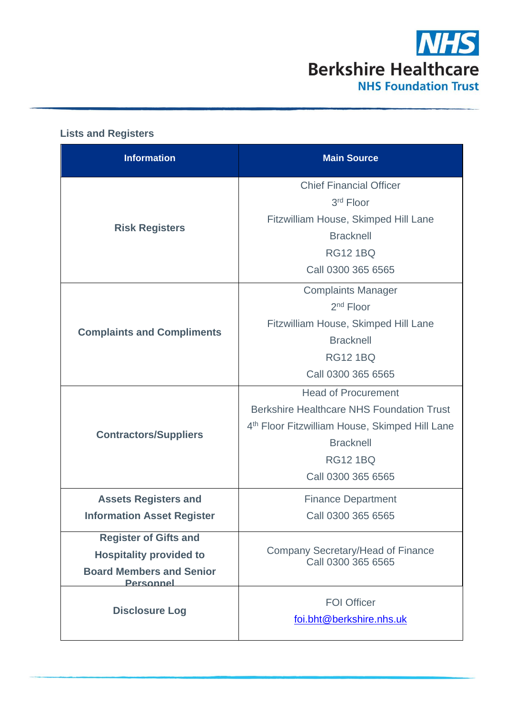

| <b>Information</b>                                  | <b>Main Source</b>                                             |
|-----------------------------------------------------|----------------------------------------------------------------|
|                                                     | <b>Chief Financial Officer</b>                                 |
|                                                     | 3rd Floor                                                      |
| <b>Risk Registers</b>                               | Fitzwilliam House, Skimped Hill Lane                           |
|                                                     | <b>Bracknell</b>                                               |
|                                                     | <b>RG12 1BQ</b>                                                |
|                                                     | Call 0300 365 6565                                             |
|                                                     | <b>Complaints Manager</b>                                      |
|                                                     | 2 <sup>nd</sup> Floor                                          |
| <b>Complaints and Compliments</b>                   | Fitzwilliam House, Skimped Hill Lane                           |
|                                                     | <b>Bracknell</b>                                               |
|                                                     | <b>RG12 1BQ</b>                                                |
|                                                     | Call 0300 365 6565                                             |
|                                                     | <b>Head of Procurement</b>                                     |
|                                                     | <b>Berkshire Healthcare NHS Foundation Trust</b>               |
| <b>Contractors/Suppliers</b>                        | 4th Floor Fitzwilliam House, Skimped Hill Lane                 |
|                                                     | <b>Bracknell</b>                                               |
|                                                     | <b>RG12 1BQ</b>                                                |
|                                                     | Call 0300 365 6565                                             |
| <b>Assets Registers and</b>                         | <b>Finance Department</b>                                      |
| <b>Information Asset Register</b>                   | Call 0300 365 6565                                             |
| <b>Register of Gifts and</b>                        |                                                                |
| <b>Hospitality provided to</b>                      | <b>Company Secretary/Head of Finance</b><br>Call 0300 365 6565 |
| <b>Board Members and Senior</b><br><b>Personnel</b> |                                                                |
| <b>Disclosure Log</b>                               | <b>FOI Officer</b>                                             |
|                                                     | foi.bht@berkshire.nhs.uk                                       |
|                                                     |                                                                |

#### **Lists and Registers**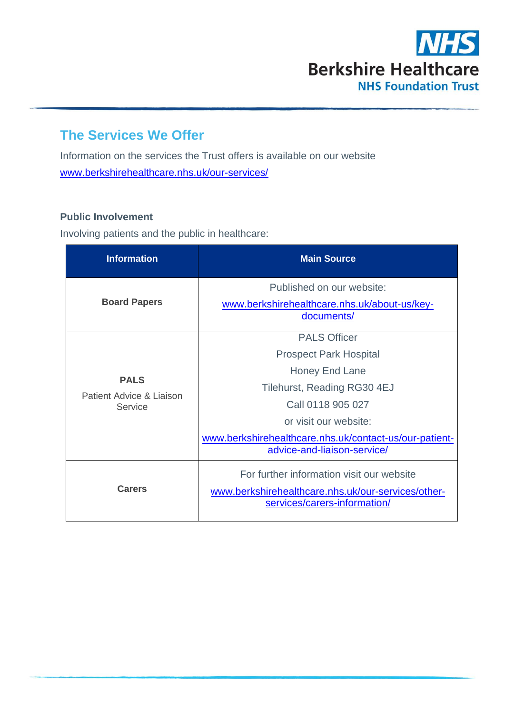

# **The Services We Offer**

Information on the services the Trust offers is available on our website [www.berkshirehealthcare.nhs.uk/our-services/](http://www.berkshirehealthcare.nhs.uk/our-services/)

#### **Public Involvement**

Involving patients and the public in healthcare:

| <b>Information</b>                                 | <b>Main Source</b>                                                                                                                                                                                                                           |
|----------------------------------------------------|----------------------------------------------------------------------------------------------------------------------------------------------------------------------------------------------------------------------------------------------|
| <b>Board Papers</b>                                | Published on our website:<br>www.berkshirehealthcare.nhs.uk/about-us/key-<br>documents/                                                                                                                                                      |
| <b>PALS</b><br>Patient Advice & Liaison<br>Service | <b>PALS Officer</b><br><b>Prospect Park Hospital</b><br>Honey End Lane<br>Tilehurst, Reading RG30 4EJ<br>Call 0118 905 027<br>or visit our website:<br>www.berkshirehealthcare.nhs.uk/contact-us/our-patient-<br>advice-and-liaison-service/ |
| Carers                                             | For further information visit our website<br>www.berkshirehealthcare.nhs.uk/our-services/other-<br>services/carers-information/                                                                                                              |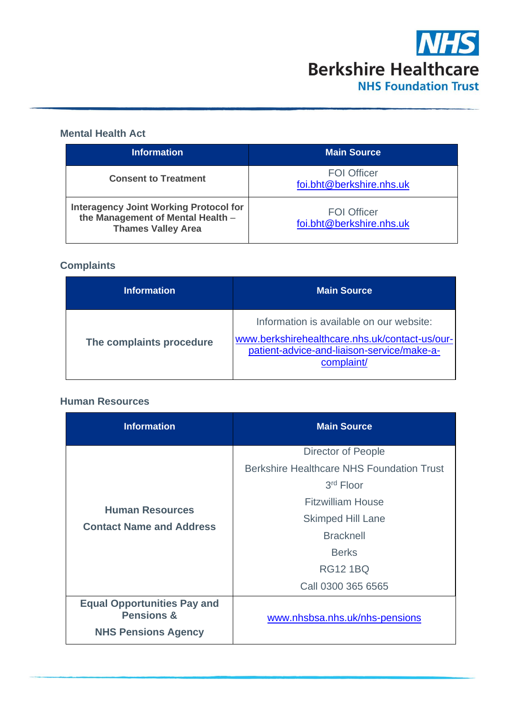

### **Mental Health Act**

| <b>Information</b>                                                                                              | <b>Main Source</b>                             |
|-----------------------------------------------------------------------------------------------------------------|------------------------------------------------|
| <b>Consent to Treatment</b>                                                                                     | <b>FOI Officer</b><br>foi.bht@berkshire.nhs.uk |
| <b>Interagency Joint Working Protocol for</b><br>the Management of Mental Health -<br><b>Thames Valley Area</b> | <b>FOI Officer</b><br>foi.bht@berkshire.nhs.uk |

## **Complaints**

| <b>Information</b>       | <b>Main Source</b>                                                                                                                                     |
|--------------------------|--------------------------------------------------------------------------------------------------------------------------------------------------------|
| The complaints procedure | Information is available on our website:<br>www.berkshirehealthcare.nhs.uk/contact-us/our-<br>patient-advice-and-liaison-service/make-a-<br>complaint/ |

#### **Human Resources**

| <b>Information</b>                                          | <b>Main Source</b>                               |
|-------------------------------------------------------------|--------------------------------------------------|
|                                                             | <b>Director of People</b>                        |
|                                                             | <b>Berkshire Healthcare NHS Foundation Trust</b> |
| <b>Human Resources</b><br><b>Contact Name and Address</b>   | 3rd Floor                                        |
|                                                             | <b>Fitzwilliam House</b>                         |
|                                                             | <b>Skimped Hill Lane</b>                         |
|                                                             | <b>Bracknell</b>                                 |
|                                                             | <b>Berks</b>                                     |
|                                                             | <b>RG12 1BQ</b>                                  |
|                                                             | Call 0300 365 6565                               |
| <b>Equal Opportunities Pay and</b><br><b>Pensions &amp;</b> | www.nhsbsa.nhs.uk/nhs-pensions                   |
| <b>NHS Pensions Agency</b>                                  |                                                  |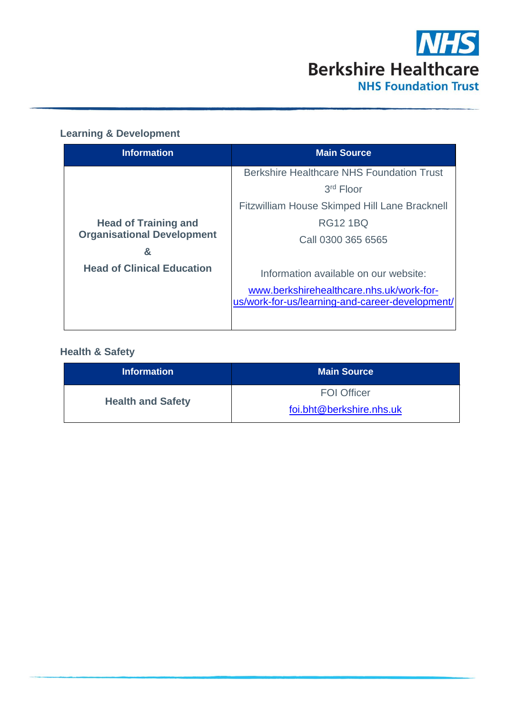

## **Learning & Development**

| <b>Information</b>                                                    | <b>Main Source</b>                                                                                                                   |
|-----------------------------------------------------------------------|--------------------------------------------------------------------------------------------------------------------------------------|
|                                                                       | <b>Berkshire Healthcare NHS Foundation Trust</b><br>$3rd$ Floor                                                                      |
| <b>Head of Training and</b><br><b>Organisational Development</b><br>& | <b>Fitzwilliam House Skimped Hill Lane Bracknell</b><br><b>RG12 1BQ</b><br>Call 0300 365 6565                                        |
| <b>Head of Clinical Education</b>                                     | Information available on our website:<br>www.berkshirehealthcare.nhs.uk/work-for-<br>us/work-for-us/learning-and-career-development/ |

## **Health & Safety**

| <b>Information</b>       | <b>Main Source</b>       |
|--------------------------|--------------------------|
| <b>Health and Safety</b> | <b>FOI Officer</b>       |
|                          | foi.bht@berkshire.nhs.uk |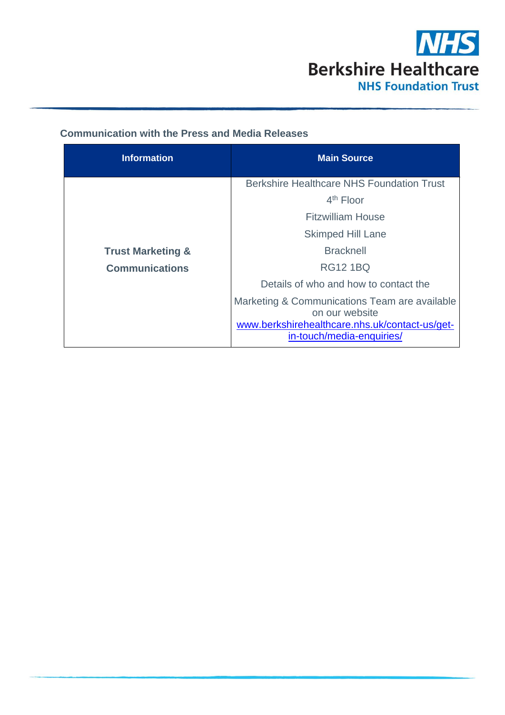

## **Communication with the Press and Media Releases**

| <b>Information</b>           | <b>Main Source</b>                                                                                                                             |
|------------------------------|------------------------------------------------------------------------------------------------------------------------------------------------|
|                              | <b>Berkshire Healthcare NHS Foundation Trust</b>                                                                                               |
|                              | $4th$ Floor                                                                                                                                    |
|                              | Fitzwilliam House                                                                                                                              |
|                              | <b>Skimped Hill Lane</b>                                                                                                                       |
| <b>Trust Marketing &amp;</b> | <b>Bracknell</b>                                                                                                                               |
| <b>Communications</b>        | RG12 1BQ                                                                                                                                       |
|                              | Details of who and how to contact the                                                                                                          |
|                              | Marketing & Communications Team are available<br>on our website<br>www.berkshirehealthcare.nhs.uk/contact-us/get-<br>in-touch/media-enquiries/ |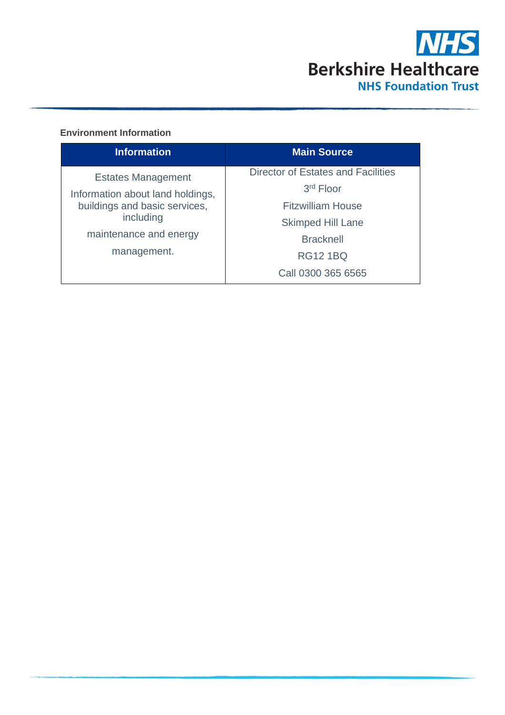

#### **Environment Information**

| <b>Information</b>                                                                                                                                   | <b>Main Source</b>                                                                                                                               |
|------------------------------------------------------------------------------------------------------------------------------------------------------|--------------------------------------------------------------------------------------------------------------------------------------------------|
| <b>Estates Management</b><br>Information about land holdings,<br>buildings and basic services,<br>including<br>maintenance and energy<br>management. | Director of Estates and Facilities<br>$3rd$ Floor<br><b>Fitzwilliam House</b><br><b>Skimped Hill Lane</b><br><b>Bracknell</b><br><b>RG12 1BQ</b> |
|                                                                                                                                                      | Call 0300 365 6565                                                                                                                               |